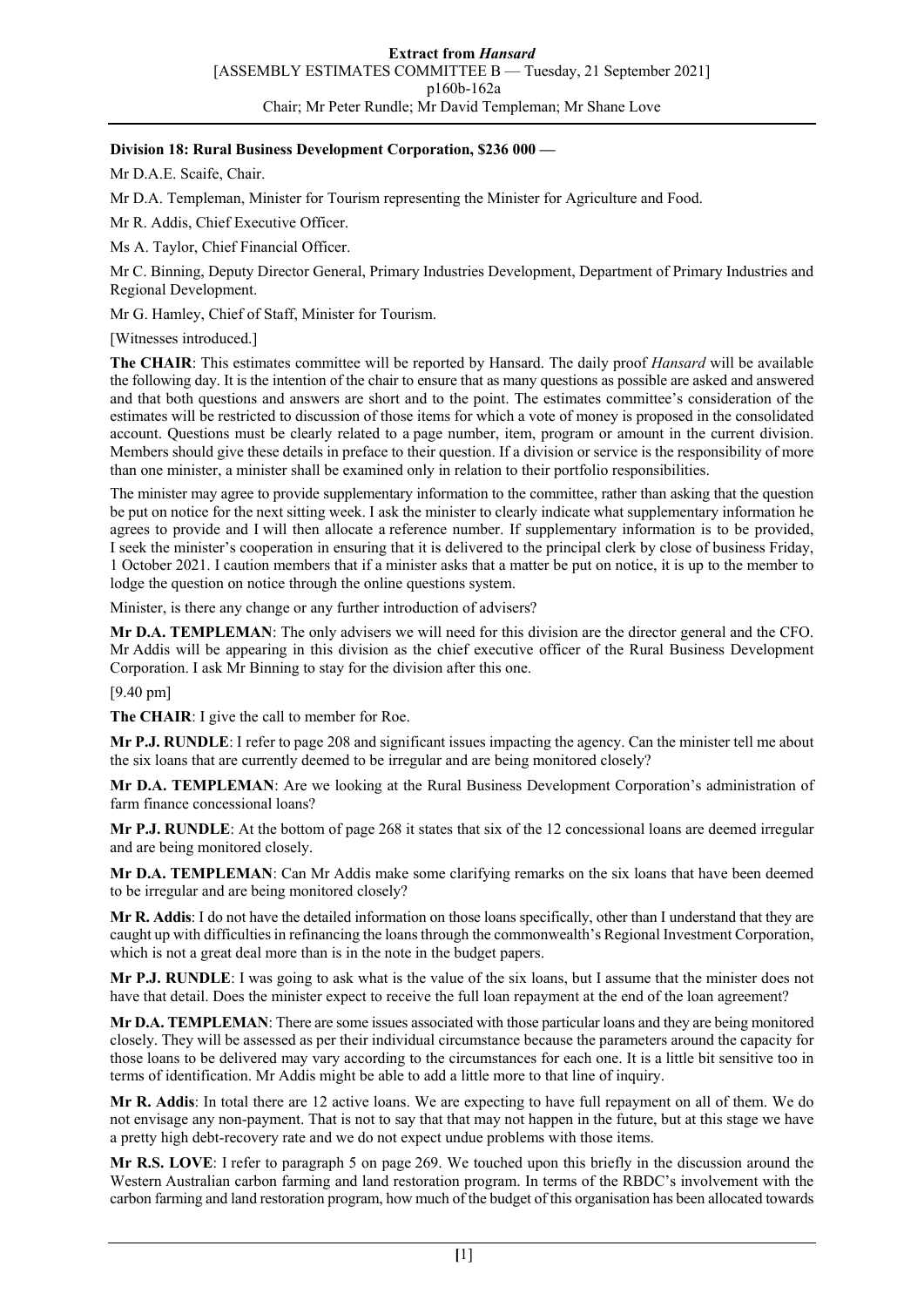## **Division 18: Rural Business Development Corporation, \$236 000 —**

Mr D.A.E. Scaife, Chair.

Mr D.A. Templeman, Minister for Tourism representing the Minister for Agriculture and Food.

Mr R. Addis, Chief Executive Officer.

Ms A. Taylor, Chief Financial Officer.

Mr C. Binning, Deputy Director General, Primary Industries Development, Department of Primary Industries and Regional Development.

Mr G. Hamley, Chief of Staff, Minister for Tourism.

[Witnesses introduced.]

**The CHAIR**: This estimates committee will be reported by Hansard. The daily proof *Hansard* will be available the following day. It is the intention of the chair to ensure that as many questions as possible are asked and answered and that both questions and answers are short and to the point. The estimates committee's consideration of the estimates will be restricted to discussion of those items for which a vote of money is proposed in the consolidated account. Questions must be clearly related to a page number, item, program or amount in the current division. Members should give these details in preface to their question. If a division or service is the responsibility of more than one minister, a minister shall be examined only in relation to their portfolio responsibilities.

The minister may agree to provide supplementary information to the committee, rather than asking that the question be put on notice for the next sitting week. I ask the minister to clearly indicate what supplementary information he agrees to provide and I will then allocate a reference number. If supplementary information is to be provided, I seek the minister's cooperation in ensuring that it is delivered to the principal clerk by close of business Friday, 1 October 2021. I caution members that if a minister asks that a matter be put on notice, it is up to the member to lodge the question on notice through the online questions system.

Minister, is there any change or any further introduction of advisers?

**Mr D.A. TEMPLEMAN**: The only advisers we will need for this division are the director general and the CFO. Mr Addis will be appearing in this division as the chief executive officer of the Rural Business Development Corporation. I ask Mr Binning to stay for the division after this one.

[9.40 pm]

**The CHAIR**: I give the call to member for Roe.

**Mr P.J. RUNDLE**: I refer to page 208 and significant issues impacting the agency. Can the minister tell me about the six loans that are currently deemed to be irregular and are being monitored closely?

**Mr D.A. TEMPLEMAN**: Are we looking at the Rural Business Development Corporation's administration of farm finance concessional loans?

**Mr P.J. RUNDLE**: At the bottom of page 268 it states that six of the 12 concessional loans are deemed irregular and are being monitored closely.

**Mr D.A. TEMPLEMAN**: Can Mr Addis make some clarifying remarks on the six loans that have been deemed to be irregular and are being monitored closely?

**Mr R. Addis**: I do not have the detailed information on those loans specifically, other than I understand that they are caught up with difficulties in refinancing the loans through the commonwealth's Regional Investment Corporation, which is not a great deal more than is in the note in the budget papers.

**Mr P.J. RUNDLE**: I was going to ask what is the value of the six loans, but I assume that the minister does not have that detail. Does the minister expect to receive the full loan repayment at the end of the loan agreement?

**Mr D.A. TEMPLEMAN**: There are some issues associated with those particular loans and they are being monitored closely. They will be assessed as per their individual circumstance because the parameters around the capacity for those loans to be delivered may vary according to the circumstances for each one. It is a little bit sensitive too in terms of identification. Mr Addis might be able to add a little more to that line of inquiry.

**Mr R. Addis**: In total there are 12 active loans. We are expecting to have full repayment on all of them. We do not envisage any non-payment. That is not to say that that may not happen in the future, but at this stage we have a pretty high debt-recovery rate and we do not expect undue problems with those items.

**Mr R.S. LOVE**: I refer to paragraph 5 on page 269. We touched upon this briefly in the discussion around the Western Australian carbon farming and land restoration program. In terms of the RBDC's involvement with the carbon farming and land restoration program, how much of the budget of this organisation has been allocated towards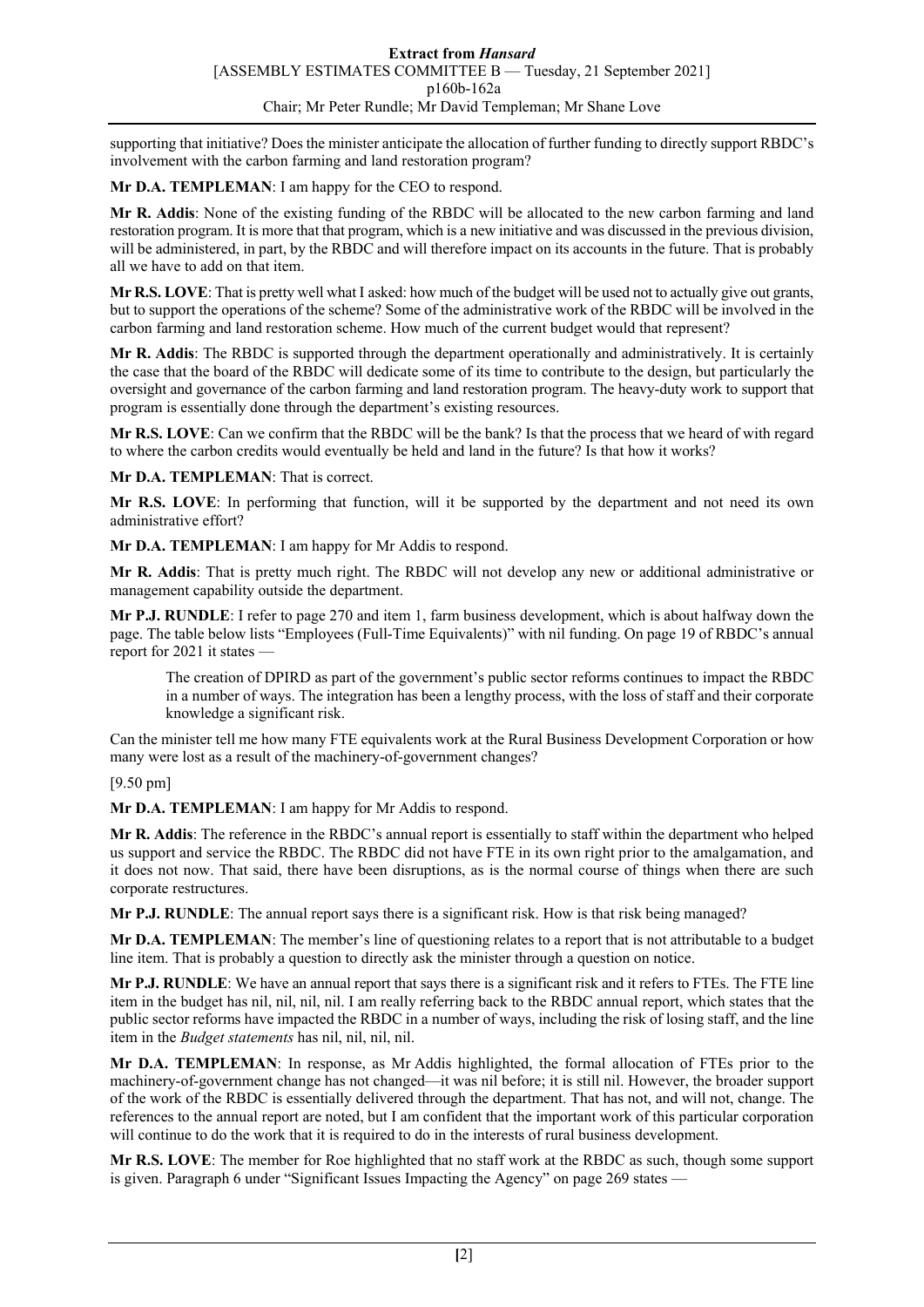supporting that initiative? Does the minister anticipate the allocation of further funding to directly support RBDC's involvement with the carbon farming and land restoration program?

**Mr D.A. TEMPLEMAN**: I am happy for the CEO to respond.

**Mr R. Addis**: None of the existing funding of the RBDC will be allocated to the new carbon farming and land restoration program. It is more that that program, which is a new initiative and was discussed in the previous division, will be administered, in part, by the RBDC and will therefore impact on its accounts in the future. That is probably all we have to add on that item.

**Mr R.S. LOVE**: That is pretty well what I asked: how much of the budget will be used not to actually give out grants, but to support the operations of the scheme? Some of the administrative work of the RBDC will be involved in the carbon farming and land restoration scheme. How much of the current budget would that represent?

**Mr R. Addis**: The RBDC is supported through the department operationally and administratively. It is certainly the case that the board of the RBDC will dedicate some of its time to contribute to the design, but particularly the oversight and governance of the carbon farming and land restoration program. The heavy-duty work to support that program is essentially done through the department's existing resources.

**Mr R.S. LOVE**: Can we confirm that the RBDC will be the bank? Is that the process that we heard of with regard to where the carbon credits would eventually be held and land in the future? Is that how it works?

**Mr D.A. TEMPLEMAN**: That is correct.

**Mr R.S. LOVE**: In performing that function, will it be supported by the department and not need its own administrative effort?

**Mr D.A. TEMPLEMAN**: I am happy for Mr Addis to respond.

**Mr R. Addis**: That is pretty much right. The RBDC will not develop any new or additional administrative or management capability outside the department.

**Mr P.J. RUNDLE**: I refer to page 270 and item 1, farm business development, which is about halfway down the page. The table below lists "Employees (Full-Time Equivalents)" with nil funding. On page 19 of RBDC's annual report for 2021 it states —

The creation of DPIRD as part of the government's public sector reforms continues to impact the RBDC in a number of ways. The integration has been a lengthy process, with the loss of staff and their corporate knowledge a significant risk.

Can the minister tell me how many FTE equivalents work at the Rural Business Development Corporation or how many were lost as a result of the machinery-of-government changes?

[9.50 pm]

**Mr D.A. TEMPLEMAN**: I am happy for Mr Addis to respond.

**Mr R. Addis**: The reference in the RBDC's annual report is essentially to staff within the department who helped us support and service the RBDC. The RBDC did not have FTE in its own right prior to the amalgamation, and it does not now. That said, there have been disruptions, as is the normal course of things when there are such corporate restructures.

**Mr P.J. RUNDLE**: The annual report says there is a significant risk. How is that risk being managed?

**Mr D.A. TEMPLEMAN**: The member's line of questioning relates to a report that is not attributable to a budget line item. That is probably a question to directly ask the minister through a question on notice.

**Mr P.J. RUNDLE**: We have an annual report that says there is a significant risk and it refers to FTEs. The FTE line item in the budget has nil, nil, nil, nil. I am really referring back to the RBDC annual report, which states that the public sector reforms have impacted the RBDC in a number of ways, including the risk of losing staff, and the line item in the *Budget statements* has nil, nil, nil, nil.

**Mr D.A. TEMPLEMAN**: In response, as Mr Addis highlighted, the formal allocation of FTEs prior to the machinery-of-government change has not changed—it was nil before; it is still nil. However, the broader support of the work of the RBDC is essentially delivered through the department. That has not, and will not, change. The references to the annual report are noted, but I am confident that the important work of this particular corporation will continue to do the work that it is required to do in the interests of rural business development.

**Mr R.S. LOVE**: The member for Roe highlighted that no staff work at the RBDC as such, though some support is given. Paragraph 6 under "Significant Issues Impacting the Agency" on page 269 states —